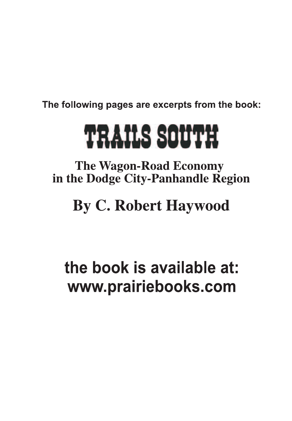The following pages are excerpts from the book:

# **TRAILS SOUTH**

**The Wagon-Road Economy** in the Dodge City-Panhandle Region

# **By C. Robert Haywood**

# the book is available at: www.prairiebooks.com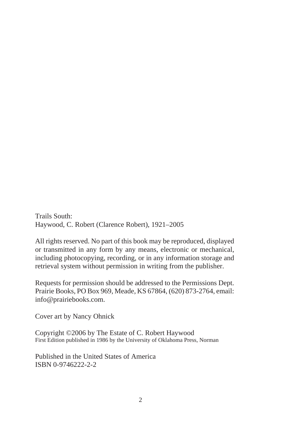Trails South: Haywood, C. Robert (Clarence Robert), 1921–2005

All rights reserved. No part of this book may be reproduced, displayed or transmitted in any form by any means, electronic or mechanical, including photocopying, recording, or in any information storage and retrieval system without permission in writing from the publisher.

Requests for permission should be addressed to the Permissions Dept. Prairie Books, PO Box 969, Meade, KS 67864, (620) 873-2764, email: info@prairiebooks.com.

Cover art by Nancy Ohnick

Copyright ©2006 by The Estate of C. Robert Haywood First Edition published in 1986 by the University of Oklahoma Press, Norman

Published in the United States of America ISBN 0-9746222-2-2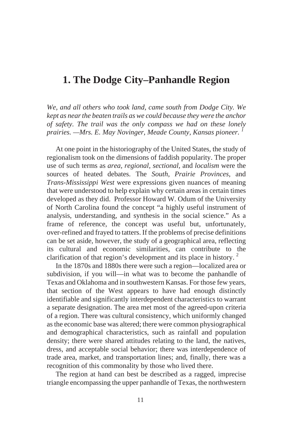#### **1. The Dodge City–Panhandle Region**

*We, and all others who took land, came south from Dodge City. We kept as near the beaten trails as we could because they were the anchor of safety. The trail was the only compass we had on these lonely prairies. —Mrs. E. May Novinger, Meade County, Kansas pioneer. <sup>1</sup>*

At one point in the historiography of the United States, the study of regionalism took on the dimensions of faddish popularity. The proper use of such terms as *area, regional, sectional,* and *localism* were the sources of heated debates. The *South*, *Prairie Provinces*, and *Trans-Mississippi West* were expressions given nuances of meaning that were understood to help explain why certain areas in certain times developed as they did. Professor Howard W. Odum of the University of North Carolina found the concept "a highly useful instrument of analysis, understanding, and synthesis in the social science." As a frame of reference, the concept was useful but, unfortunately, over-refined and frayed to tatters. If the problems of precise definitions can be set aside, however, the study of a geographical area, reflecting its cultural and economic similarities, can contribute to the clarification of that region's development and its place in history.  $\frac{2}{3}$ 

In the 1870s and 1880s there were such a region—localized area or subdivision, if you will—in what was to become the panhandle of Texas and Oklahoma and in southwestern Kansas. For those few years, that section of the West appears to have had enough distinctly identifiable and significantly interdependent characteristics to warrant a separate designation. The area met most of the agreed-upon criteria of a region. There was cultural consistency, which uniformly changed as the economic base was altered; there were common physiographical and demographical characteristics, such as rainfall and population density; there were shared attitudes relating to the land, the natives, dress, and acceptable social behavior; there was interdependence of trade area, market, and transportation lines; and, finally, there was a recognition of this commonality by those who lived there.

The region at hand can best be described as a ragged, imprecise triangle encompassing the upper panhandle of Texas, the northwestern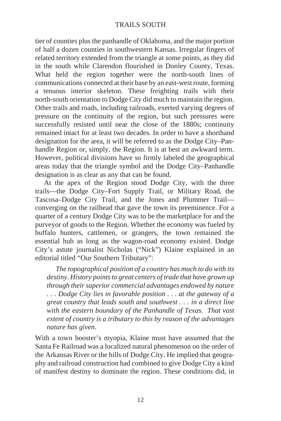tier of counties plus the panhandle of Oklahoma, and the major portion of half a dozen counties in southwestern Kansas. Irregular fingers of related territory extended from the triangle at some points, as they did in the south while Clarendon flourished in Donley County, Texas. What held the region together were the north-south lines of communications connected at their base by an east-west route, forming a tenuous interior skeleton. These freighting trails with their north-south orientation to Dodge City did much to maintain the region. Other trails and roads, including railroads, exerted varying degrees of pressure on the continuity of the region, but such pressures were successfully resisted until near the close of the 1880s; continuity remained intact for at least two decades. In order to have a shorthand designation for the area, it will be referred to as the Dodge City–Panhandle Region or, simply, the Region. It is at best an awkward term. However, political divisions have so firmly labeled the geographical areas today that the triangle symbol and the Dodge City–Panhandle designation is as clear as any that can be found.

At the apex of the Region stood Dodge City, with the three trails—the Dodge City–Fort Supply Trail, or Military Road, the Tascosa–Dodge City Trail, and the Jones and Plummer Trail converging on the railhead that gave the town its preeminence. For a quarter of a century Dodge City was to be the marketplace for and the purveyor of goods to the Region. Whether the economy was fueled by buffalo hunters, cattlemen, or grangers, the town remained the essential hub as long as the wagon-road economy existed. Dodge City's astute journalist Nicholas ("Nick") Klaine explained in an editorial titled "Our Southern Tributary":

*The topographical position of a country has much to do with its destiny. History points to great centers of trade that have grown up through their superior commercial advantages endowed by nature . . . Dodge City lies in favorable position . . . at the gateway of a great country that leads south and southwest . . . in a direct line with the eastern boundary of the Panhandle of Texas. That vast extent of country is a tributary to this by reason of the advantages nature has given.*

With a town booster's myopia, Klaine must have assumed that the Santa Fe Railroad was a localized natural phenomenon on the order of the Arkansas River or the hills of Dodge City. He implied that geography and railroad construction had combined to give Dodge City a kind of manifest destiny to dominate the region. These conditions did, in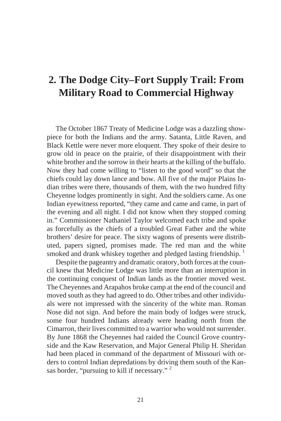# **2. The Dodge City–Fort Supply Trail: From Military Road to Commercial Highway**

The October 1867 Treaty of Medicine Lodge was a dazzling showpiece for both the Indians and the army. Satanta, Little Raven, and Black Kettle were never more eloquent. They spoke of their desire to grow old in peace on the prairie, of their disappointment with their white brother and the sorrow in their hearts at the killing of the buffalo. Now they had come willing to "listen to the good word" so that the chiefs could lay down lance and bow. All five of the major Plains Indian tribes were there, thousands of them, with the two hundred fifty Cheyenne lodges prominently in sight. And the soldiers came. As one Indian eyewitness reported, "they came and came and came, in part of the evening and all night. I did not know when they stopped coming in." Commissioner Nathaniel Taylor welcomed each tribe and spoke as forcefully as the chiefs of a troubled Great Father and the white brothers' desire for peace. The sixty wagons of presents were distributed, papers signed, promises made. The red man and the white smoked and drank whiskey together and pledged lasting friendship. <sup>1</sup>

Despite the page antry and dramatic oratory, both forces at the council knew that Medicine Lodge was little more than an interruption in the continuing conquest of Indian lands as the frontier moved west. The Cheyennes and Arapahos broke camp at the end of the council and moved south as they had agreed to do. Other tribes and other individuals were not impressed with the sincerity of the white man. Roman Nose did not sign. And before the main body of lodges were struck, some four hundred Indians already were heading north from the Cimarron, their lives committed to a warrior who would not surrender. By June 1868 the Cheyennes had raided the Council Grove countryside and the Kaw Reservation, and Major General Philip H. Sheridan had been placed in command of the department of Missouri with orders to control Indian depredations by driving them south of the Kansas border, "pursuing to kill if necessary."<sup>2</sup>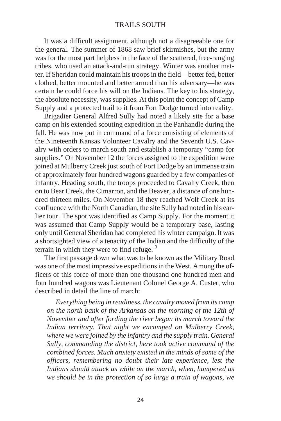It was a difficult assignment, although not a disagreeable one for the general. The summer of 1868 saw brief skirmishes, but the army was for the most part helpless in the face of the scattered, free-ranging tribes, who used an attack-and-run strategy. Winter was another matter. If Sheridan could maintain his troops in the field—better fed, better clothed, better mounted and better armed than his adversary—he was certain he could force his will on the Indians. The key to his strategy, the absolute necessity, was supplies. At this point the concept of Camp Supply and a protected trail to it from Fort Dodge turned into reality.

Brigadier General Alfred Sully had noted a likely site for a base camp on his extended scouting expedition in the Panhandle during the fall. He was now put in command of a force consisting of elements of the Nineteenth Kansas Volunteer Cavalry and the Seventh U.S. Cavalry with orders to march south and establish a temporary "camp for supplies." On November 12 the forces assigned to the expedition were joined at Mulberry Creek just south of Fort Dodge by an immense train of approximately four hundred wagons guarded by a few companies of infantry. Heading south, the troops proceeded to Cavalry Creek, then on to Bear Creek, the Cimarron, and the Beaver, a distance of one hundred thirteen miles. On November 18 they reached Wolf Creek at its confluence with the North Canadian, the site Sully had noted in his earlier tour. The spot was identified as Camp Supply. For the moment it was assumed that Camp Supply would be a temporary base, lasting only until General Sheridan had completed his winter campaign. It was a short sighted view of a tenacity of the Indian and the difficulty of the terrain in which they were to find refuge.  $3$ 

The first passage down what was to be known as the Military Road was one of the most impressive expeditions in the West. Among the officers of this force of more than one thousand one hundred men and four hundred wagons was Lieutenant Colonel George A. Custer, who described in detail the line of march:

*Everything being in readiness, the cavalry moved from its camp on the north bank of the Arkansas on the morning of the 12th of November and after fording the river began its march toward the Indian territory. That night we encamped on Mulberry Creek, where we were joined by the infantry and the supply train. General Sully, commanding the district, here took active command of the combined forces. Much anxiety existed in the minds of some of the officers, remembering no doubt their late experience, lest the Indians should attack us while on the march, when, hampered as we should be in the protection of so large a train of wagons, we*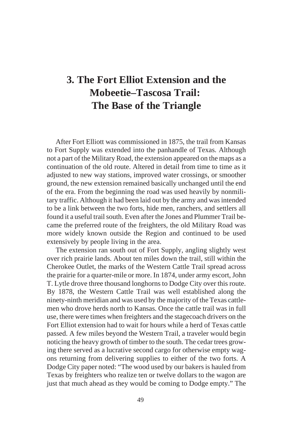# **3. The Fort Elliot Extension and the Mobeetie–Tascosa Trail: The Base of the Triangle**

After Fort Elliott was commissioned in 1875, the trail from Kansas to Fort Supply was extended into the panhandle of Texas. Although not a part of the Military Road, the extension appeared on the maps as a continuation of the old route. Altered in detail from time to time as it adjusted to new way stations, improved water crossings, or smoother ground, the new extension remained basically unchanged until the end of the era. From the beginning the road was used heavily by nonmilitary traffic. Although it had been laid out by the army and was intended to be a link between the two forts, hide men, ranchers, and settlers all found it a useful trail south. Even after the Jones and Plummer Trail became the preferred route of the freighters, the old Military Road was more widely known outside the Region and continued to be used extensively by people living in the area.

The extension ran south out of Fort Supply, angling slightly west over rich prairie lands. About ten miles down the trail, still within the Cherokee Outlet, the marks of the Western Cattle Trail spread across the prairie for a quarter-mile or more. In 1874, under army escort, John T. Lytle drove three thousand long horns to Dodge City over this route. By 1878, the Western Cattle Trail was well established along the ninety-ninth meridian and was used by the majority of the Texas cattlemen who drove herds north to Kansas. Once the cattle trail was in full use, there were times when freighters and the stage coach drivers on the Fort Elliot extension had to wait for hours while a herd of Texas cattle passed. A few miles beyond the Western Trail, a traveler would begin noticing the heavy growth of timber to the south. The cedar trees growing there served as a lucrative second cargo for otherwise empty wagons returning from delivering supplies to either of the two forts. A Dodge City paper noted: "The wood used by our bakers is hauled from Texas by freighters who realize ten or twelve dollars to the wagon are just that much ahead as they would be coming to Dodge empty." The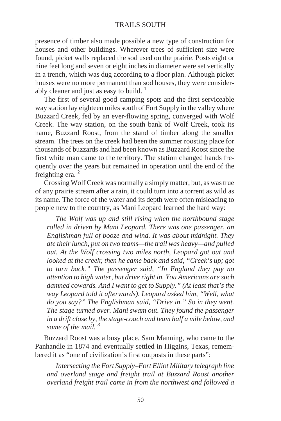presence of timber also made possible a new type of construction for houses and other buildings. Wherever trees of sufficient size were found, picket walls replaced the sod used on the prairie. Posts eight or nine feet long and seven or eight inches in diameter were set vertically in a trench, which was dug according to a floor plan. Although picket houses were no more permanent than sod houses, they were considerably cleaner and just as easy to build.  $\frac{1}{1}$ 

The first of several good camping spots and the first serviceable way station lay eighteen miles south of Fort Supply in the valley where Buzzard Creek, fed by an ever-flowing spring, converged with Wolf Creek. The way station, on the south bank of Wolf Creek, took its name, Buzzard Roost, from the stand of timber along the smaller stream. The trees on the creek had been the summer roosting place for thou sands of buz zards and had been known as Buz zard Roost since the first white man came to the territory. The station changed hands frequently over the years but remained in operation until the end of the freighting era.  $2$ 

Crossing Wolf Creek was normally a simply matter, but, as was true of any prairie stream after a rain, it could turn into a torrent as wild as its name. The force of the water and its depth were often misleading to people new to the country, as Mani Leopard learned the hard way:

*The Wolf was up and still rising when the northbound stage rolled in driven by Mani Leopard. There was one passenger, an Englishman full of booze and wind. It was about midnight. They ate their lunch, put on two teams—the trail was heavy—and pulled out. At the Wolf crossing two miles north, Leopard got out and looked at the creek; then he came back and said, "Creek's up; got to turn back." The passenger said, "In England they pay no attention to high water, but drive right in. You Americans are such damned cowards. And I want to get to Supply." (At least that's the way Leopard told it afterwards). Leopard asked him, "Well, what do you say?" The Englishman said, "Drive in." So in they went. The stage turned over. Mani swam out. They found the passenger in a drift close by, the stage-coach and team half a mile below, and some of the mail. <sup>3</sup>*

Buzzard Roost was a busy place. Sam Manning, who came to the Panhandle in 1874 and eventually settled in Higgins, Texas, remembered it as "one of civilization's first outposts in these parts":

*Intersecting the Fort Supply–Fort Elliot Military telegraph line and overland stage and freight trail at Buzzard Roost another overland freight trail came in from the northwest and followed a*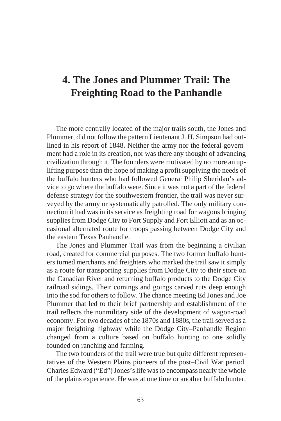# **4. The Jones and Plummer Trail: The Freighting Road to the Panhandle**

The more centrally located of the major trails south, the Jones and Plummer, did not follow the pattern Lieutenant J. H. Simpson had outlined in his report of 1848. Neither the army nor the federal government had a role in its creation, nor was there any thought of advancing civilization through it. The founders were motivated by no more an uplifting purpose than the hope of making a profit supplying the needs of the buffalo hunters who had followed General Philip Sheridan's advice to go where the buffalo were. Since it was not a part of the federal defense strategy for the south western frontier, the trail was never surveyed by the army or systematically patrolled. The only military connection it had was in its service as freighting road for wagons bringing supplies from Dodge City to Fort Supply and Fort Elliott and as an occasional alternated route for troops passing between Dodge City and the eastern Texas Panhandle.

The Jones and Plummer Trail was from the beginning a civilian road, created for commercial purposes. The two former buffalo hunters turned merchants and freighters who marked the trail saw it simply as a route for transporting supplies from Dodge City to their store on the Canadian River and returning buffalo products to the Dodge City railroad sidings. Their comings and goings carved ruts deep enough into the sod for others to follow. The chance meeting Ed Jones and Joe Plummer that led to their brief partnership and establishment of the trail reflects the nonmilitary side of the development of wagon-road economy. For two decades of the 1870s and 1880s, the trail served as a major freighting highway while the Dodge City–Panhandle Region changed from a culture based on buffalo hunting to one solidly founded on ranching and farming.

The two founders of the trail were true but quite different representatives of the Western Plains pioneers of the post–Civil War period. Charles Edward ("Ed") Jones's life was to encompass nearly the whole of the plains experience. He was at one time or another buffalo hunter,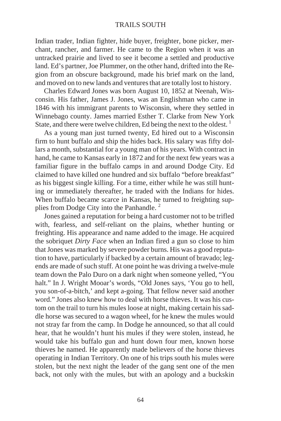Indian trader, Indian fighter, hide buyer, freighter, bone picker, merchant, rancher, and farmer. He came to the Region when it was an untracked prairie and lived to see it become a settled and productive land. Ed's partner, Joe Plummer, on the other hand, drifted into the Region from an obscure background, made his brief mark on the land, and moved on to new lands and ventures that are totally lost to history.

Charles Edward Jones was born August 10, 1852 at Neenah, Wisconsin. His father, James J. Jones, was an Englishman who came in 1846 with his immigrant parents to Wisconsin, where they settled in Winnebago county. James married Esther T. Clarke from New York State, and there were twelve children, Ed being the next to the oldest.  $\frac{1}{1}$ 

As a young man just turned twenty, Ed hired out to a Wisconsin firm to hunt buffalo and ship the hides back. His salary was fifty dollars a month, substantial for a young man of his years. With contract in hand, he came to Kansas early in 1872 and for the next few years was a familiar figure in the buffalo camps in and around Dodge City. Ed claimed to have killed one hundred and six buffalo "before breakfast" as his biggest single killing. For a time, either while he was still hunting or immediately thereafter, he traded with the Indians for hides. When buffalo became scarce in Kansas, he turned to freighting supplies from Dodge City into the Panhandle. $<sup>2</sup>$ </sup>

Jones gained a reputation for being a hard customer not to be trifled with, fearless, and self-reliant on the plains, whether hunting or freighting. His appearance and name added to the image. He acquired the sobriquet *Dirty Face* when an Indian fired a gun so close to him that Jones was marked by severe powder burns. His was a good reputation to have, particularly if backed by a certain amount of bravado; legends are made of such stuff. At one point he was driving a twelve-mule team down the Palo Duro on a dark night when someone yelled, "You halt." In J. Wright Mooar's words, "Old Jones says, 'You go to hell, you son-of-a-bitch,' and kept a-going. That fellow never said another word." Jones also knew how to deal with horse thieves. It was his custom on the trail to turn his mules loose at night, making certain his saddle horse was secured to a wagon wheel, for he knew the mules would not stray far from the camp. In Dodge he announced, so that all could hear, that he wouldn't hunt his mules if they were stolen, instead, he would take his buffalo gun and hunt down four men, known horse thieves he named. He apparently made believers of the horse thieves operating in Indian Territory. On one of his trips south his mules were stolen, but the next night the leader of the gang sent one of the men back, not only with the mules, but with an apology and a buckskin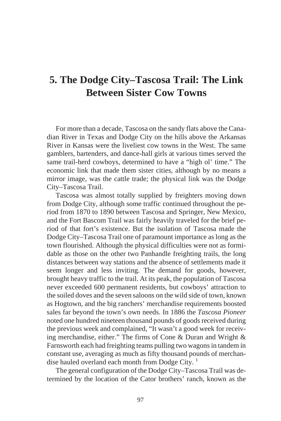# **5. The Dodge City–Tascosa Trail: The Link Between Sister Cow Towns**

For more than a decade, Tascosa on the sandy flats above the Canadian River in Texas and Dodge City on the hills above the Arkansas River in Kansas were the live liest cow towns in the West. The same gamblers, bartenders, and dance-hall girls at various times served the same trail-herd cowboys, determined to have a "high ol' time." The economic link that made them sister cities, although by no means a mirror image, was the cattle trade; the physical link was the Dodge City–Tascosa Trail.

Tascosa was almost totally supplied by freighters moving down from Dodge City, although some traffic continued throughout the period from 1870 to 1890 between Tascosa and Springer, New Mexico, and the Fort Bascom Trail was fairly heavily traveled for the brief period of that fort's existence. But the isolation of Tascosa made the Dodge City–Tascosa Trail one of paramount importance as long as the town flourished. Although the physical difficulties were not as formidable as those on the other two Panhandle freighting trails, the long distances between way stations and the absence of settlements made it seem longer and less inviting. The demand for goods, however, brought heavy traffic to the trail. At its peak, the population of Tascosa never exceeded 600 permanent residents, but cowboys' attraction to the soiled doves and the seven saloons on the wild side of town, known as Hogtown, and the big ranchers' merchandise requirements boosted sales far beyond the town's own needs. In 1886 the *Tascosa Pioneer* noted one hundred nine teen thousand pounds of goods received during the previous week and complained, "It wasn't a good week for receiving merchandise, either." The firms of Cone  $&$  Duran and Wright  $&$ Farnsworth each had freighting teams pulling two wagons in tandem in constant use, averaging as much as fifty thousand pounds of merchandise hauled overland each month from Dodge City.  $\frac{1}{1}$ 

The general configuration of the Dodge City–Tascosa Trail was determined by the location of the Cator brothers' ranch, known as the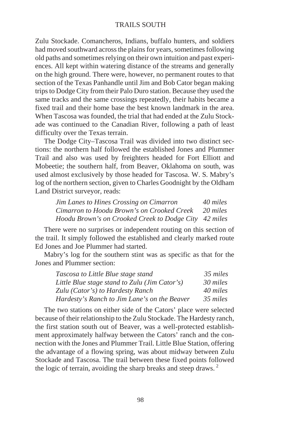Zulu Stockade. Comancheros, Indians, buffalo hunters, and soldiers had moved southward across the plains for years, sometimes following old paths and sometimes relying on their own intuition and past experiences. All kept within watering distance of the streams and generally on the high ground. There were, however, no permanent routes to that section of the Texas Panhandle until Jim and Bob Cator began making trips to Dodge City from their Palo Duro station. Because they used the same tracks and the same crossings repeatedly, their habits became a fixed trail and their home base the best known land mark in the area. When Tascosa was founded, the trial that had ended at the Zulu Stockade was continued to the Canadian River, following a path of least difficulty over the Texas terrain.

The Dodge City–Tascosa Trail was divided into two distinct sections: the northern half followed the established Jones and Plummer Trail and also was used by freighters headed for Fort Elliott and Mobeetie; the southern half, from Beaver, Oklahoma on south, was used almost exclusively by those headed for Tascosa. W. S. Mabry's log of the northern section, given to Charles Goodnight by the Oldham Land District surveyor, reads:

| <b>Jim Lanes to Hines Crossing on Cimarron</b>        | 40 miles |
|-------------------------------------------------------|----------|
| Cimarron to Hoodu Brown's on Crooked Creek            | 20 miles |
| Hoodu Brown's on Crooked Creek to Dodge City 42 miles |          |

There were no surprises or independent routing on this section of the trail. It simply followed the established and clearly marked route Ed Jones and Joe Plummer had started.

Mabry's log for the southern stint was as specific as that for the Jones and Plummer section:

| Tascosa to Little Blue stage stand            | 35 miles |
|-----------------------------------------------|----------|
| Little Blue stage stand to Zulu (Jim Cator's) | 30 miles |
| Zulu (Cator's) to Hardesty Ranch              | 40 miles |
| Hardesty's Ranch to Jim Lane's on the Beaver  | 35 miles |

The two stations on either side of the Cators' place were selected because of their relationship to the Zulu Stockade. The Hardesty ranch, the first station south out of Beaver, was a well-protected establishment approximately halfway between the Cators' ranch and the connection with the Jones and Plummer Trail. Little Blue Station, offering the advantage of a flowing spring, was about midway between Zulu Stockade and Tascosa. The trail between these fixed points followed the logic of terrain, avoiding the sharp breaks and steep draws.<sup>2</sup>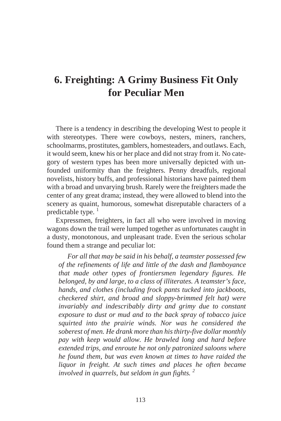### **6. Freighting: A Grimy Business Fit Only for Peculiar Men**

There is a tendency in describing the developing West to people it with stereotypes. There were cowboys, nesters, miners, ranchers, school marms, prostitutes, gamblers, home steaders, and out laws. Each, it would seem, knew his or her place and did not stray from it. No category of western types has been more universally depicted with unfounded uniformity than the freighters. Penny dreadfuls, regional novelists, history buffs, and professional historians have painted them with a broad and unvarying brush. Rarely were the freighters made the center of any great drama; instead, they were allowed to blend into the scenery as quaint, humorous, somewhat disreputable characters of a predictable type.  $\frac{1}{2}$ 

Expressmen, freighters, in fact all who were involved in moving wagons down the trail were lumped together as unfortunates caught in a dusty, monotonous, and unpleasant trade. Even the serious scholar found them a strange and peculiar lot:

*For all that may be said in his behalf, a teamster possessed few of the refinements of life and little of the dash and flamboyance that made other types of frontiersmen legendary figures. He belonged, by and large, to a class of illiterates. A teamster's face, hands, and clothes (including frock pants tucked into jackboots, checkered shirt, and broad and sloppy-brimmed felt hat) were invariably and indescribably dirty and grimy due to constant exposure to dust or mud and to the back spray of tobacco juice squirted into the prairie winds. Nor was he considered the soberest of men. He drank more than his thirty-five dollar monthly pay with keep would allow. He brawled long and hard before extended trips, and enroute he not only patronized saloons where he found them, but was even known at times to have raided the liquor in freight. At such times and places he often became involved in quarrels, but seldom in gun fights. <sup>2</sup>*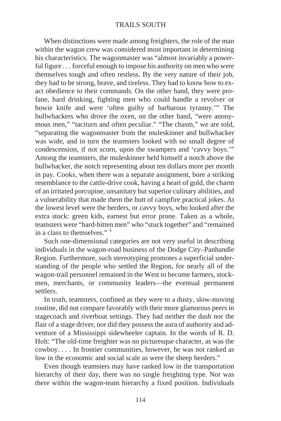When distinctions were made among freighters, the role of the man within the wagon crew was considered most important in determining his characteristics. The wagonmaster was "almost invariably a powerful figure . . . force ful enough to impose his authority on men who were themselves tough and often restless. By the very nature of their job, they had to be strong, brave, and tireless. They had to know how to exact obedience to their commands. On the other hand, they were profane, hard drinking, fighting men who could handle a revolver or bowie knife and were 'often guilty of barbarous tyranny.'" The bullwhackers who drove the oxen, on the other hand, "were anonymous men," "taciturn and often peculiar." "The chasm," we are told, "separating the wagonmaster from the muleskinner and bullwhacker was wide, and in turn the teamsters looked with no small degree of condescension, if not scorn, upon the swampers and 'cavvy boys.'" Among the teamsters, the muleskinner held himself a notch above the bullwhacker, the notch representing about ten dollars more per month in pay. Cooks, when there was a separate assignment, bore a striking resemblance to the cattle-drive cook, having a heart of gold, the charm of an irritated por cupine, unsanitary but superior culinary abilities, and a vulnerability that made them the butt of camp fire practical jokes. At the lowest level were the herders, or cavvy boys, who looked after the extra stock: green kids, earnest but error prone. Taken as a whole, teamsters were "hard-bitten men" who "stuck together" and "remained in a class to themselves." $3$ 

Such one-dimensional categories are not very useful in describing individuals in the wagon-road business of the Dodge City–Panhandle Region. Furthermore, such stereotyping promotes a superficial understanding of the people who settled the Region, for nearly all of the wagon-trail personnel remained in the West to become farmers, stockmen, merchants, or community leaders—the eventual permanent settlers.

In truth, teamsters, confined as they were to a dusty, slow-moving routine, did not compare favorably with their more glamorous peers in stage coach and riverboat settings. They had neither the dash nor the flair of a stage driver, nor did they possess the aura of authority and adventure of a Mississippi sidewheeler captain. In the words of R. D. Holt: "The old-time freighter was no picturesque character, as was the  $cowboy. \ldots$  In frontier communities, however, he was not ranked as low in the economic and social scale as were the sheep herders."

Even though teamsters may have ranked low in the transportation hierarchy of their day, there was no single freighting type. Nor was there within the wagon-team hierarchy a fixed position. Individuals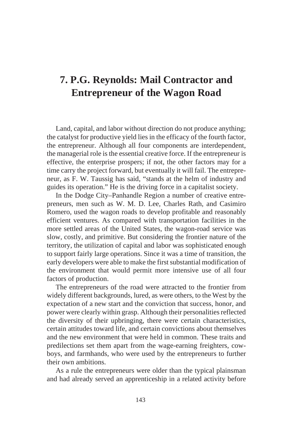# **7. P.G. Reynolds: Mail Contractor and Entrepreneur of the Wagon Road**

Land, capital, and labor without direction do not produce anything; the catalyst for productive yield lies in the efficacy of the fourth factor, the entrepreneur. Although all four components are interdependent, the managerial role is the essential creative force. If the entrepreneur is effective, the enterprise prospers; if not, the other factors may for a time carry the project forward, but eventually it will fail. The entrepreneur, as F. W. Taussig has said, "stands at the helm of industry and guides its operation." He is the driving force in a capitalist society.

In the Dodge City–Panhandle Region a number of creative entrepreneurs, men such as W. M. D. Lee, Charles Rath, and Casimiro Romero, used the wagon roads to develop profitable and reasonably efficient ventures. As compared with transportation facilities in the more settled areas of the United States, the wagon-road service was slow, costly, and primitive. But considering the frontier nature of the territory, the utilization of capital and labor was sophisticated enough to support fairly large operations. Since it was a time of transition, the early developers were able to make the first substantial modification of the environment that would permit more intensive use of all four factors of production.

The entrepreneurs of the road were attracted to the frontier from widely different backgrounds, lured, as were others, to the West by the expectation of a new start and the conviction that success, honor, and power were clearly within grasp. Although their personalities reflected the diversity of their up bringing, there were certain characteristics, certain attitudes toward life, and certain convictions about themselves and the new environment that were held in common. These traits and predilections set them apart from the wage-earning freighters, cowboys, and farmhands, who were used by the entrepreneurs to further their own ambitions.

As a rule the entrepreneurs were older than the typical plains man and had already served an apprenticeship in a related activity before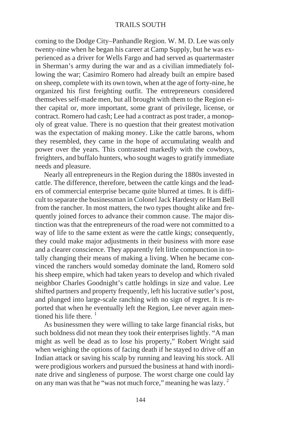coming to the Dodge City–Panhandle Region. W. M. D. Lee was only twenty-nine when he began his career at Camp Supply, but he was experienced as a driver for Wells Fargo and had served as quarter master in Sherman's army during the war and as a civilian immediately following the war; Casimiro Romero had already built an empire based on sheep, complete with its own town, when at the age of forty-nine, he organized his first freighting outfit. The entrepreneurs considered themselves self-made men, but all brought with them to the Region either capital or, more important, some grant of privilege, license, or contract. Romero had cash; Lee had a contract as post trader, a monopoly of great value. There is no question that their greatest motivation was the expectation of making money. Like the cattle barons, whom they resembled, they came in the hope of accumulating wealth and power over the years. This contrasted markedly with the cowboys, freighters, and buffalo hunters, who sought wages to gratify immediate needs and pleasure.

Nearly all entrepreneurs in the Region during the 1880s invested in cattle. The difference, therefore, between the cattle kings and the leaders of commercial enterprise became quite blurred at times. It is difficult to separate the businessman in Colonel Jack Hardesty or Ham Bell from the rancher. In most matters, the two types thought alike and frequently joined forces to advance their common cause. The major distinction was that the entrepreneurs of the road were not committed to a way of life to the same extent as were the cattle kings; consequently, they could make major adjustments in their business with more ease and a clearer conscience. They apparently felt little compunction in totally changing their means of making a living. When he became convinced the ranchers would someday dominate the land, Romero sold his sheep empire, which had taken years to develop and which rivaled neighbor Charles Goodnight's cattle holdings in size and value. Lee shifted partners and property frequently, left his lucrative sutler's post, and plunged into large-scale ranching with no sign of regret. It is reported that when he eventually left the Region, Lee never again mentioned his life there.  $\frac{1}{1}$ 

As businessmen they were willing to take large financial risks, but such boldness did not mean they took their enterprises lightly. "A man might as well be dead as to lose his property," Robert Wright said when weighing the options of facing death if he stayed to drive off an Indian attack or saving his scalp by running and leaving his stock. All were prodigious workers and pursued the business at hand with inordinate drive and singleness of purpose. The worst charge one could lay on any man was that he "was not much force," meaning he was lazy. <sup>2</sup>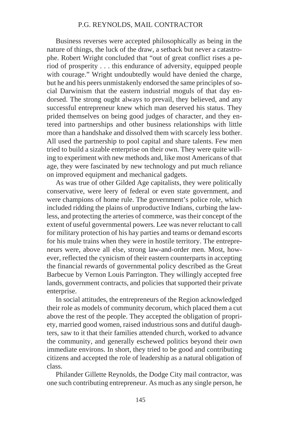#### P.G. REYNOLDS, MAIL CONTRACTOR

Business reverses were accepted philosophically as being in the nature of things, the luck of the draw, a setback but never a catastrophe. Robert Wright concluded that "out of great conflict rises a period of prosperity . . . this endurance of adversity, equipped people with courage." Wright undoubtedly would have denied the charge, but he and his peers unmistakenly endorsed the same principles of social Darwinism that the eastern industrial moguls of that day endorsed. The strong ought always to prevail, they believed, and any success ful entrepreneur knew which man deserved his status. They prided themselves on being good judges of character, and they entered into partnerships and other business relationships with little more than a hand shake and dissolved them with scarcely less bother. All used the partnership to pool capital and share talents. Few men tried to build a sizable enterprise on their own. They were quite willing to experiment with new methods and, like most Americans of that age, they were fascinated by new technology and put much reliance on improved equipment and mechanical gadgets.

As was true of other Gilded Age capitalists, they were politically conservative, were leery of federal or even state government, and were champions of home rule. The government's police role, which included ridding the plains of unproductive Indians, curbing the lawless, and protecting the arteries of commerce, was their concept of the extent of useful governmental powers. Lee was never reluctant to call for military protection of his hay parties and teams or demand escorts for his mule trains when they were in hostile territory. The entrepreneurs were, above all else, strong law-and-order men. Most, however, reflected the cynicism of their eastern counterparts in accepting the financial rewards of governmental policy described as the Great Barbecue by Vernon Louis Parrington. They willingly accepted free lands, government contracts, and policies that supported their private enterprise.

In social attitudes, the entrepreneurs of the Region acknowledged their role as models of community decorum, which placed them a cut above the rest of the people. They accepted the obligation of propriety, married good women, raised industrious sons and dutiful daughters, saw to it that their families attended church, worked to advance the community, and generally eschewed politics beyond their own im mediate environs. In short, they tried to be good and contributing citizens and accepted the role of leadership as a natural obligation of class.

Philander Gillette Reynolds, the Dodge City mail contractor, was one such contributing entrepreneur. As much as any single person, he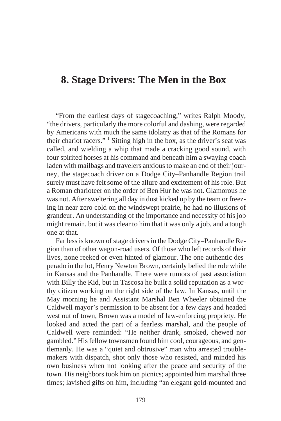#### **8. Stage Drivers: The Men in the Box**

"From the earliest days of stagecoaching," writes Ralph Moody, "the drivers, particularly the more colorful and dashing, were regarded by Americans with much the same idolatry as that of the Romans for their chariot racers." <sup>1</sup> Sitting high in the box, as the driver's seat was called, and wielding a whip that made a cracking good sound, with four spirited horses at his command and beneath him a swaying coach laden with mailbags and travelers anxious to make an end of their journey, the stage coach driver on a Dodge City–Panhandle Region trail surely must have felt some of the allure and excitement of his role. But a Roman charioteer on the order of Ben Hur he was not. Glamorous he was not. After sweltering all day in dust kicked up by the team or freezing in near-zero cold on the windswept prairie, he had no illusions of grandeur. An understanding of the importance and necessity of his job might remain, but it was clear to him that it was only a job, and a tough one at that.

Far less is known of stage drivers in the Dodge City–Panhandle Region than of other wagon-road users. Of those who left records of their lives, none reeked or even hinted of glamour. The one authentic desperado in the lot, Henry Newton Brown, certainly belied the role while in Kansas and the Panhandle. There were rumors of past association with Billy the Kid, but in Tascosa he built a solid reputation as a worthy citizen working on the right side of the law. In Kansas, until the May morning he and Assistant Marshal Ben Wheeler obtained the Caldwell mayor's permission to be absent for a few days and headed west out of town, Brown was a model of law-enforcing propriety. He looked and acted the part of a fearless marshal, and the people of Caldwell were reminded: "He neither drank, smoked, chewed nor gambled." His fellow towns men found him cool, courageous, and gentlemanly. He was a "quiet and obtrusive" man who arrested troublemakers with dispatch, shot only those who resisted, and minded his own business when not looking after the peace and security of the town. His neighbors took him on picnics; appointed him marshal three times; lavished gifts on him, including "an elegant gold-mounted and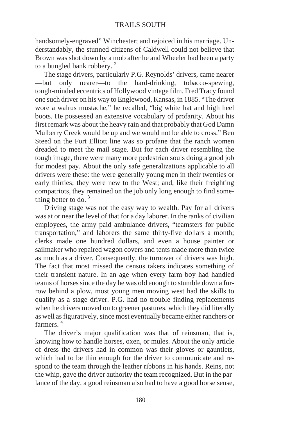hand somely-engraved" Winchester; and rejoiced in his marriage. Understandably, the stunned citizens of Caldwell could not believe that Brown was shot down by a mob after he and Wheeler had been a party to a bungled bank robbery.  $2^2$ 

The stage drivers, particularly P.G. Reynolds' drivers, came nearer —but only nearer—to the hard-drinking, to bacco-spewing, tough-minded eccentrics of Hollywood vintage film. Fred Tracy found one such driver on his way to Englewood, Kansas, in 1885. "The driver wore a walrus mustache," he recalled, "big white hat and high heel boots. He possessed an extensive vocabulary of profanity. About his first remark was about the heavy rain and that probably that God Damn Mulberry Creek would be up and we would not be able to cross." Ben Steed on the Fort Elliott line was so profane that the ranch women dreaded to meet the mail stage. But for each driver resembling the tough image, there were many more pedestrian souls doing a good job for modest pay. About the only safe generalizations applicable to all drivers were these: the were generally young men in their twen ties or early thirties; they were new to the West; and, like their freighting compatriots, they remained on the job only long enough to find something better to do.  $3\overline{)}$ 

Driving stage was not the easy way to wealth. Pay for all drivers was at or near the level of that for a day laborer. In the ranks of civilian employees, the army paid ambulance drivers, "teamsters for public transportation," and laborers the same thirty-five dollars a month; clerks made one hundred dollars, and even a house painter or sailmaker who repaired wagon covers and tents made more than twice as much as a driver. Consequently, the turnover of drivers was high. The fact that most missed the census takers indicates something of their transient nature. In an age when every farm boy had handled teams of horses since the day he was old enough to stumble down a furrow behind a plow, most young men moving west had the skills to qualify as a stage driver. P.G. had no trouble finding replacements when he drivers moved on to greener pastures, which they did literally as well as figuratively, since most eventually became either ranchers or farmers $4$ 

The driver's major qualification was that of reinsman, that is, knowing how to handle horses, oxen, or mules. About the only article of dress the drivers had in common was their gloves or gauntlets, which had to be thin enough for the driver to communicate and respond to the team through the leather ribbons in his hands. Reins, not the whip, gave the driver authority the team recognized. But in the parlance of the day, a good reinsman also had to have a good horse sense,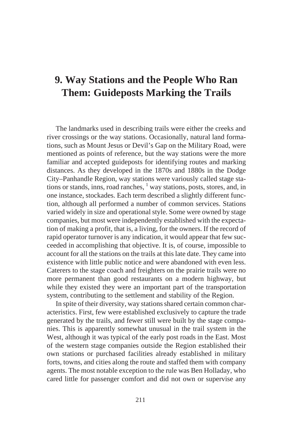# **9. Way Stations and the People Who Ran Them: Guideposts Marking the Trails**

The land marks used in describing trails were either the creeks and river crossings or the way stations. Occasionally, natural land formations, such as Mount Jesus or Devil's Gap on the Military Road, were mentioned as points of reference, but the way stations were the more familiar and accepted guideposts for identifying routes and marking distances. As they developed in the 1870s and 1880s in the Dodge City–Panhandle Region, way stations were variously called stage stations or stands, inns, road ranches, <sup>1</sup> way stations, posts, stores, and, in one instance, stockades. Each term described a slightly different function, although all performed a number of common services. Stations varied widely in size and operational style. Some were owned by stage companies, but most were independently established with the expectation of making a profit, that is, a living, for the owners. If the record of rapid operator turnover is any indication, it would appear that few succeeded in accomplishing that objective. It is, of course, impossible to account for all the stations on the trails at this late date. They came into existence with little public notice and were abandoned with even less. Caterers to the stage coach and freighters on the prairie trails were no more permanent than good restaurants on a modern highway, but while they existed they were an important part of the transportation system, contributing to the settlement and stability of the Region.

In spite of their diversity, way stations shared certain common characteristics. First, few were established exclusively to capture the trade generated by the trails, and fewer still were built by the stage companies. This is apparently somewhat unusual in the trail system in the West, although it was typical of the early post roads in the East. Most of the western stage companies outside the Region established their own stations or purchased facilities already established in military forts, towns, and cities along the route and staffed them with company agents. The most notable exception to the rule was Ben Holladay, who cared little for passenger comfort and did not own or supervise any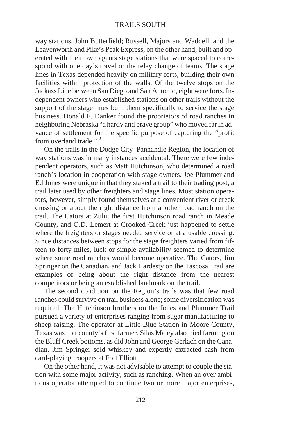way stations. John Butterfield; Russell, Majors and Waddell; and the Leavenworth and Pike's Peak Express, on the other hand, built and operated with their own agents stage stations that were spaced to correspond with one day's travel or the relay change of teams. The stage lines in Texas depended heavily on military forts, building their own facilities within protection of the walls. Of the twelve stops on the Jackass Line between San Diego and San Antonio, eight were forts. Independent owners who established stations on other trails without the support of the stage lines built them specifically to service the stage business. Donald F. Danker found the proprietors of road ranches in neighboring Nebraska "a hardy and brave group" who moved far in advance of settlement for the specific purpose of capturing the "profit" from overland trade."  $2^{\circ}$ 

On the trails in the Dodge City–Panhandle Region, the location of way stations was in many instances accidental. There were few independent operators, such as Matt Hutchinson, who determined a road ranch's location in cooperation with stage owners. Joe Plummer and Ed Jones were unique in that they staked a trail to their trading post, a trail later used by other freighters and stage lines. Most station operators, however, simply found themselves at a convenient river or creek crossing or about the right distance from another road ranch on the trail. The Cators at Zulu, the first Hutchinson road ranch in Meade County, and O.D. Lemert at Crooked Creek just happened to settle where the freighters or stages needed service or at a usable crossing. Since distances between stops for the stage freighters varied from fifteen to forty miles, luck or simple availability seemed to determine where some road ranches would become operative. The Cators, Jim Springer on the Canadian, and Jack Hardesty on the Tascosa Trail are examples of being about the right distance from the nearest competitors or being an established landmark on the trail.

The second condition on the Region's trails was that few road ranches could survive on trail business alone; some diversification was required. The Hutchinson brothers on the Jones and Plummer Trail pursued a variety of enterprises ranging from sugar manufacturing to sheep raising. The operator at Little Blue Station in Moore County, Texas was that county's first farmer. Silas Maley also tried farming on the Bluff Creek bottoms, as did John and George Gerlach on the Canadian. Jim Springer sold whiskey and expertly extracted cash from card-playing troopers at Fort Elliott.

On the other hand, it was not advisable to attempt to couple the station with some major activity, such as ranching. When an over ambitious operator attempted to continue two or more major enterprises,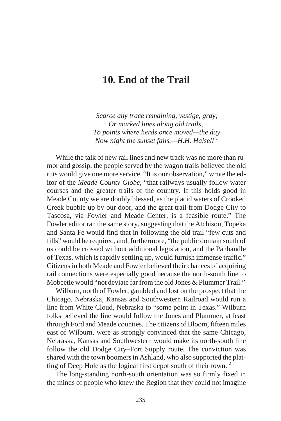#### **10. End of the Trail**

*Scarce any trace remaining, vestige, gray, Or marked lines along old trails, To points where herds once moved—the day Now night the sunset fails.—H.H. Halsell <sup>1</sup>*

While the talk of new rail lines and new track was no more than rumor and gossip, the people served by the wagon trails believed the old ruts would give one more service. "It is our observation," wrote the editor of the *Meade County Globe*, "that railways usually follow water courses and the greater trails of the country. If this holds good in Meade County we are doubly blessed, as the placid waters of Crooked Creek bubble up by our door, and the great trail from Dodge City to Tascosa, via Fowler and Meade Center, is a feasible route." The Fowler editor ran the same story, suggesting that the Atchison, Topeka and Santa Fe would find that in following the old trail "few cuts and fills" would be required, and, furthermore, "the public domain south of us could be crossed without additional legislation, and the Panhandle of Texas, which is rapidly settling up, would furnish immense traffic." Citizens in both Meade and Fowler believed their chances of acquiring rail connections were especially good because the north-south line to Mobeetie would "not deviate far from the old Jones & Plummer Trail."

Wilburn, north of Fowler, gambled and lost on the prospect that the Chicago, Nebraska, Kansas and Southwestern Railroad would run a line from White Cloud, Nebraska to "some point in Texas." Wilburn folks believed the line would follow the Jones and Plummer, at least through Ford and Meade counties. The citizens of Bloom, fifteen miles east of Wilburn, were as strongly convinced that the same Chicago, Nebraska, Kansas and Southwestern would make its north-south line follow the old Dodge City–Fort Supply route. The conviction was shared with the town boomers in Ashland, who also supported the platting of Deep Hole as the logical first depot south of their town.  $2^{\circ}$ 

The long-standing north-south orientation was so firmly fixed in the minds of people who knew the Region that they could not imagine